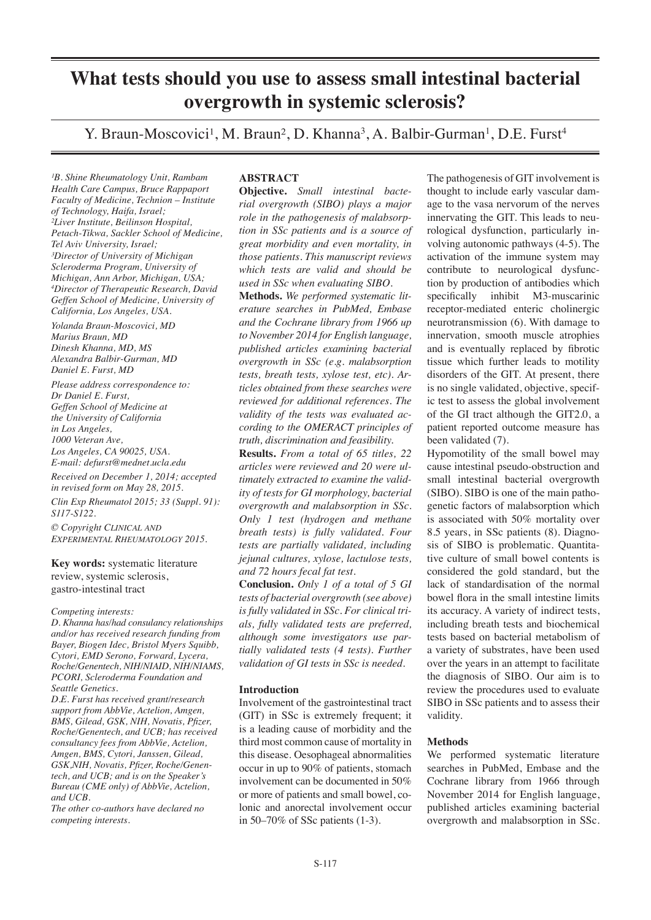# **What tests should you use to assess small intestinal bacterial overgrowth in systemic sclerosis?**

Y. Braun-Moscovici<sup>1</sup>, M. Braun<sup>2</sup>, D. Khanna<sup>3</sup>, A. Balbir-Gurman<sup>1</sup>, D.E. Furst<sup>4</sup>

*¹B. Shine Rheumatology Unit, Rambam Health Care Campus, Bruce Rappaport Faculty of Medicine, Technion – Institute of Technology, Haifa, Israel; ²Liver Institute, Beilinson Hospital, Petach-Tikwa, Sackler School of Medicine, Tel Aviv University, Israel; ³Director of University of Michigan Scleroderma Program, University of Michigan, Ann Arbor, Michigan, USA; 4 Director of Therapeutic Research, David Geffen School of Medicine, University of California, Los Angeles, USA.*

*Yolanda Braun-Moscovici, MD Marius Braun, MD Dinesh Khanna, MD, MS Alexandra Balbir-Gurman, MD Daniel E. Furst, MD*

*Please address correspondence to: Dr Daniel E. Furst, Geffen School of Medicine at the University of California in Los Angeles, 1000 Veteran Ave, Los Angeles, CA 90025, USA. E-mail: defurst@mednet.ucla.edu*

*Received on December 1, 2014; accepted in revised form on May 28, 2015. Clin Exp Rheumatol 2015; 33 (Suppl. 91): S117-S122.*

*© Copyright Clinical and Experimental Rheumatology 2015.*

**Key words:** systematic literature review, systemic sclerosis, gastro-intestinal tract

*Competing interests:* 

*D. Khanna has/had consulancy relationships and/or has received research funding from Bayer, Biogen Idec, Bristol Myers Squibb, Cytori, EMD Serono, Forward, Lycera, Roche/Genentech, NIH/NIAID, NIH/NIAMS, PCORI, Scleroderma Foundation and Seattle Genetics.*

*D.E. Furst has received grant/research support from AbbVie, Actelion, Amgen, BMS, Gilead, GSK, NIH, Novatis, Pfizer, Roche/Genentech, and UCB; has received consultancy fees from AbbVie, Actelion, Amgen, BMS, Cytori, Janssen, Gilead, GSK,NIH, Novatis, Pfizer, Roche/Genentech, and UCB; and is on the Speaker's Bureau (CME only) of AbbVie, Actelion, and UCB.*

*The other co-authors have declared no competing interests.*

# **ABSTRACT**

**Objective.** *Small intestinal bacterial overgrowth (SIBO) plays a major role in the pathogenesis of malabsorption in SSc patients and is a source of great morbidity and even mortality, in those patients. This manuscript reviews which tests are valid and should be used in SSc when evaluating SIBO*.

**Methods.** *We performed systematic literature searches in PubMed, Embase and the Cochrane library from 1966 up to November 2014 for English language, published articles examining bacterial overgrowth in SSc (e.g. malabsorption tests, breath tests, xylose test, etc). Articles obtained from these searches were reviewed for additional references. The validity of the tests was evaluated according to the OMERACT principles of truth, discrimination and feasibility.*

**Results.** *From a total of 65 titles, 22 articles were reviewed and 20 were ultimately extracted to examine the validity of tests for GI morphology, bacterial overgrowth and malabsorption in SSc. Only 1 test (hydrogen and methane breath tests) is fully validated. Four tests are partially validated, including jejunal cultures, xylose, lactulose tests, and 72 hours fecal fat test.* 

**Conclusion.** *Only 1 of a total of 5 GI tests of bacterial overgrowth (see above) is fully validated in SSc. For clinical trials, fully validated tests are preferred, although some investigators use partially validated tests (4 tests). Further validation of GI tests in SSc is needed.*

# **Introduction**

Involvement of the gastrointestinal tract (GIT) in SSc is extremely frequent; it is a leading cause of morbidity and the third most common cause of mortality in this disease. Oesophageal abnormalities occur in up to 90% of patients, stomach involvement can be documented in 50% or more of patients and small bowel, colonic and anorectal involvement occur in 50–70% of SSc patients (1-3).

The pathogenesis of GIT involvement is thought to include early vascular damage to the vasa nervorum of the nerves innervating the GIT. This leads to neurological dysfunction, particularly involving autonomic pathways (4-5). The activation of the immune system may contribute to neurological dysfunction by production of antibodies which specifically inhibit M3-muscarinic receptor-mediated enteric cholinergic neurotransmission (6). With damage to innervation, smooth muscle atrophies and is eventually replaced by fibrotic tissue which further leads to motility disorders of the GIT. At present, there is no single validated, objective, specific test to assess the global involvement of the GI tract although the GIT2.0, a patient reported outcome measure has been validated (7).

Hypomotility of the small bowel may cause intestinal pseudo-obstruction and small intestinal bacterial overgrowth (SIBO). SIBO is one of the main pathogenetic factors of malabsorption which is associated with 50% mortality over 8.5 years, in SSc patients (8). Diagnosis of SIBO is problematic. Quantitative culture of small bowel contents is considered the gold standard, but the lack of standardisation of the normal bowel flora in the small intestine limits its accuracy. A variety of indirect tests, including breath tests and biochemical tests based on bacterial metabolism of a variety of substrates, have been used over the years in an attempt to facilitate the diagnosis of SIBO. Our aim is to review the procedures used to evaluate SIBO in SSc patients and to assess their validity.

# **Methods**

We performed systematic literature searches in PubMed, Embase and the Cochrane library from 1966 through November 2014 for English language, published articles examining bacterial overgrowth and malabsorption in SSc.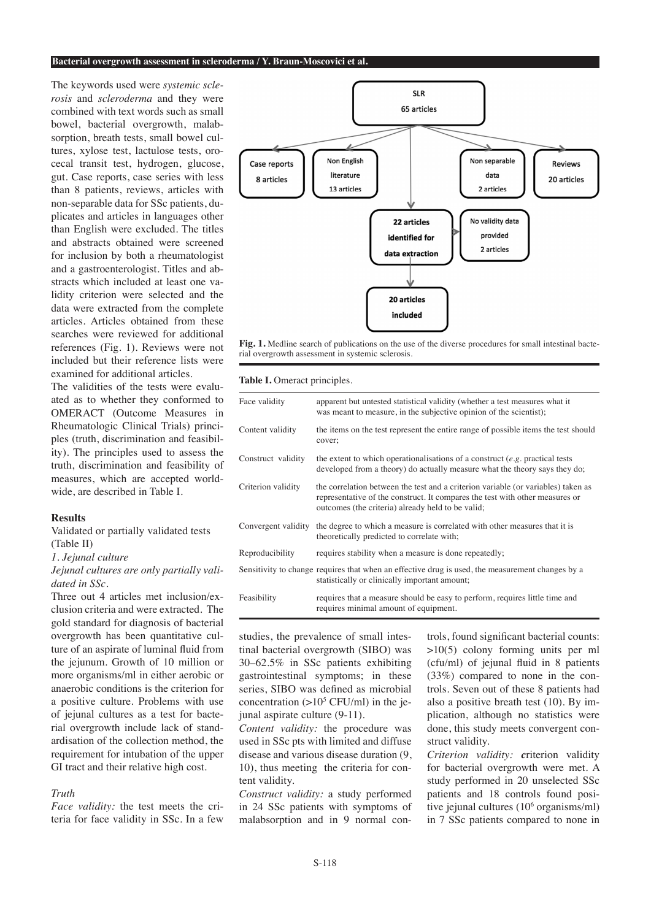The keywords used were *systemic sclerosis* and *scleroderma* and they were combined with text words such as small bowel, bacterial overgrowth, malabsorption, breath tests, small bowel cultures, xylose test, lactulose tests, orocecal transit test, hydrogen, glucose, gut. Case reports, case series with less than 8 patients, reviews, articles with non-separable data for SSc patients, duplicates and articles in languages other than English were excluded. The titles and abstracts obtained were screened for inclusion by both a rheumatologist and a gastroenterologist. Titles and abstracts which included at least one validity criterion were selected and the data were extracted from the complete articles. Articles obtained from these searches were reviewed for additional references (Fig. 1). Reviews were not included but their reference lists were examined for additional articles.

The validities of the tests were evaluated as to whether they conformed to OMERACT (Outcome Measures in Rheumatologic Clinical Trials) principles (truth, discrimination and feasibility). The principles used to assess the truth, discrimination and feasibility of measures, which are accepted worldwide, are described in Table I.

# **Results**

Validated or partially validated tests (Table II)

*1. Jejunal culture*

*Jejunal cultures are only partially validated in SSc.* 

Three out 4 articles met inclusion/exclusion criteria and were extracted. The gold standard for diagnosis of bacterial overgrowth has been quantitative culture of an aspirate of luminal fluid from the jejunum. Growth of 10 million or more organisms/ml in either aerobic or anaerobic conditions is the criterion for a positive culture. Problems with use of jejunal cultures as a test for bacterial overgrowth include lack of standardisation of the collection method, the requirement for intubation of the upper GI tract and their relative high cost.

#### *Truth*

*Face validity:* the test meets the criteria for face validity in SSc. In a few



**Fig. 1.** Medline search of publications on the use of the diverse procedures for small intestinal bacterial overgrowth assessment in systemic sclerosis.

# **Table I.** Omeract principles.

| Face validity       | apparent but untested statistical validity (whether a test measures what it<br>was meant to measure, in the subjective opinion of the scientist);                                                                      |
|---------------------|------------------------------------------------------------------------------------------------------------------------------------------------------------------------------------------------------------------------|
| Content validity    | the items on the test represent the entire range of possible items the test should<br>cover;                                                                                                                           |
| Construct validity  | the extent to which operationalisations of a construct $(e.g.$ practical tests<br>developed from a theory) do actually measure what the theory says they do;                                                           |
| Criterion validity  | the correlation between the test and a criterion variable (or variables) taken as<br>representative of the construct. It compares the test with other measures or<br>outcomes (the criteria) already held to be valid; |
| Convergent validity | the degree to which a measure is correlated with other measures that it is<br>theoretically predicted to correlate with;                                                                                               |
| Reproducibility     | requires stability when a measure is done repeatedly;                                                                                                                                                                  |
|                     | Sensitivity to change requires that when an effective drug is used, the measurement changes by a<br>statistically or clinically important amount;                                                                      |
| Feasibility         | requires that a measure should be easy to perform, requires little time and<br>requires minimal amount of equipment.                                                                                                   |

studies, the prevalence of small intestinal bacterial overgrowth (SIBO) was 30–62.5% in SSc patients exhibiting gastrointestinal symptoms; in these series, SIBO was defined as microbial concentration  $(>10^5$  CFU/ml) in the jejunal aspirate culture (9-11).

*Content validity:* the procedure was used in SSc pts with limited and diffuse disease and various disease duration (9, 10), thus meeting the criteria for content validity.

*Construct validity:* a study performed in 24 SSc patients with symptoms of malabsorption and in 9 normal con-

trols, found significant bacterial counts: >10(5) colony forming units per ml (cfu/ml) of jejunal fluid in 8 patients (33%) compared to none in the controls. Seven out of these 8 patients had also a positive breath test (10). By implication, although no statistics were done, this study meets convergent construct validity.

*Criterion validity: c*riterion validity for bacterial overgrowth were met. A study performed in 20 unselected SSc patients and 18 controls found positive jejunal cultures (10<sup>6</sup> organisms/ml) in 7 SSc patients compared to none in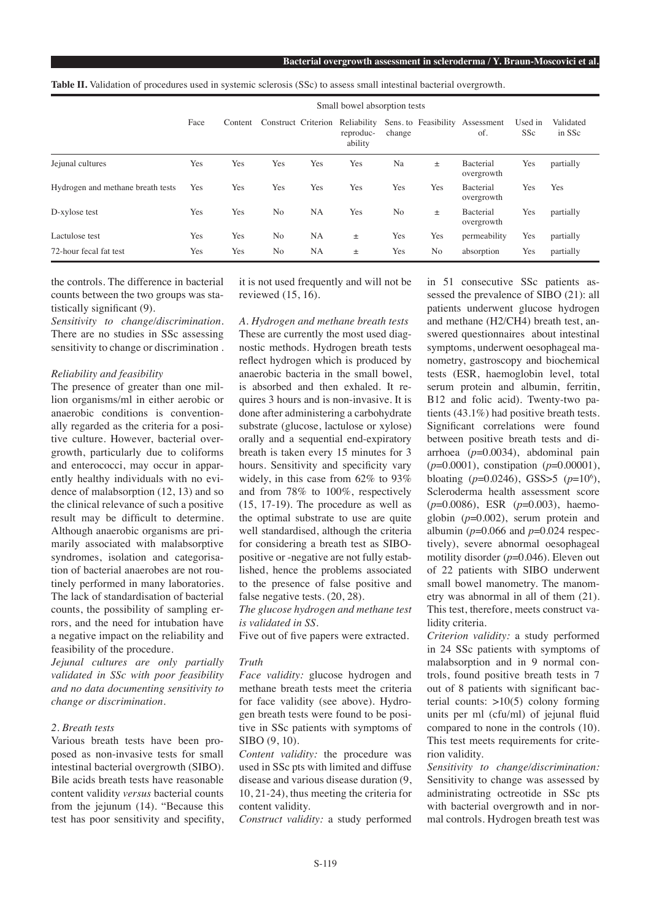**Bacterial overgrowth assessment in scleroderma / Y. Braun-Moscovici et al.**

|                                   | Small bowel absorption tests |         |                     |           |                      |                |     |                                                    |                       |                     |
|-----------------------------------|------------------------------|---------|---------------------|-----------|----------------------|----------------|-----|----------------------------------------------------|-----------------------|---------------------|
|                                   | Face                         | Content | Construct Criterion |           | reproduc-<br>ability | change         |     | Reliability Sens. to Feasibility Assessment<br>of. | Used in<br><b>SSc</b> | Validated<br>in SSc |
| Jejunal cultures                  | Yes                          | Yes     | Yes                 | Yes       | Yes                  | Na             | 土   | Bacterial<br>overgrowth                            | Yes                   | partially           |
| Hydrogen and methane breath tests | Yes                          | Yes     | Yes                 | Yes       | Yes                  | Yes            | Yes | Bacterial<br>overgrowth                            | Yes                   | Yes                 |
| D-xylose test                     | Yes                          | Yes     | N <sub>o</sub>      | <b>NA</b> | Yes                  | N <sub>o</sub> | 土   | Bacterial<br>overgrowth                            | Yes                   | partially           |
| Lactulose test                    | Yes                          | Yes     | N <sub>o</sub>      | NA        | 土                    | Yes            | Yes | permeability                                       | Yes                   | partially           |
| 72-hour fecal fat test            | Yes                          | Yes     | N <sub>o</sub>      | <b>NA</b> | 土                    | Yes            | No  | absorption                                         | Yes                   | partially           |

the controls. The difference in bacterial counts between the two groups was statistically significant (9).

*Sensitivity to change/discrimination.*  There are no studies in SSc assessing sensitivity to change or discrimination .

#### *Reliability and feasibility*

The presence of greater than one million organisms/ml in either aerobic or anaerobic conditions is conventionally regarded as the criteria for a positive culture. However, bacterial overgrowth, particularly due to coliforms and enterococci, may occur in apparently healthy individuals with no evidence of malabsorption (12, 13) and so the clinical relevance of such a positive result may be difficult to determine. Although anaerobic organisms are primarily associated with malabsorptive syndromes, isolation and categorisation of bacterial anaerobes are not routinely performed in many laboratories. The lack of standardisation of bacterial counts, the possibility of sampling errors, and the need for intubation have a negative impact on the reliability and feasibility of the procedure.

*Jejunal cultures are only partially validated in SSc with poor feasibility and no data documenting sensitivity to change or discrimination.* 

# *2. Breath tests*

Various breath tests have been proposed as non-invasive tests for small intestinal bacterial overgrowth (SIBO). Bile acids breath tests have reasonable content validity *versus* bacterial counts from the jejunum (14). "Because this test has poor sensitivity and specifity, it is not used frequently and will not be reviewed (15, 16).

*A. Hydrogen and methane breath tests* These are currently the most used diagnostic methods. Hydrogen breath tests reflect hydrogen which is produced by anaerobic bacteria in the small bowel, is absorbed and then exhaled. It requires 3 hours and is non-invasive. It is done after administering a carbohydrate substrate (glucose, lactulose or xylose) orally and a sequential end-expiratory breath is taken every 15 minutes for 3 hours. Sensitivity and specificity vary widely, in this case from 62% to 93% and from 78% to 100%, respectively (15, 17-19). The procedure as well as the optimal substrate to use are quite well standardised, although the criteria for considering a breath test as SIBOpositive or -negative are not fully established, hence the problems associated to the presence of false positive and false negative tests. (20, 28).

*The glucose hydrogen and methane test is validated in SS.*

Five out of five papers were extracted.

# *Truth*

*Face validity:* glucose hydrogen and methane breath tests meet the criteria for face validity (see above). Hydrogen breath tests were found to be positive in SSc patients with symptoms of SIBO (9, 10).

*Content validity:* the procedure was used in SSc pts with limited and diffuse disease and various disease duration (9, 10, 21-24), thus meeting the criteria for content validity.

*Construct validity:* a study performed

in 51 consecutive SSc patients assessed the prevalence of SIBO (21): all patients underwent glucose hydrogen and methane (H2/CH4) breath test, answered questionnaires about intestinal symptoms, underwent oesophageal manometry, gastroscopy and biochemical tests (ESR, haemoglobin level, total serum protein and albumin, ferritin, B12 and folic acid). Twenty-two patients (43.1%) had positive breath tests. Significant correlations were found between positive breath tests and diarrhoea (*p*=0.0034), abdominal pain (*p*=0.0001), constipation (*p*=0.00001), bloating  $(p=0.0246)$ , GSS>5  $(p=10^6)$ , Scleroderma health assessment score (*p*=0.0086), ESR (*p*=0.003), haemoglobin (*p*=0.002), serum protein and albumin (*p*=0.066 and *p*=0.024 respectively), severe abnormal oesophageal motility disorder (*p*=0.046). Eleven out of 22 patients with SIBO underwent small bowel manometry. The manometry was abnormal in all of them (21). This test, therefore, meets construct validity criteria.

*Criterion validity:* a study performed in 24 SSc patients with symptoms of malabsorption and in 9 normal controls, found positive breath tests in 7 out of 8 patients with significant bacterial counts:  $>10(5)$  colony forming units per ml (cfu/ml) of jejunal fluid compared to none in the controls (10). This test meets requirements for criterion validity.

*Sensitivity to change/discrimination:*  Sensitivity to change was assessed by administrating octreotide in SSc pts with bacterial overgrowth and in normal controls. Hydrogen breath test was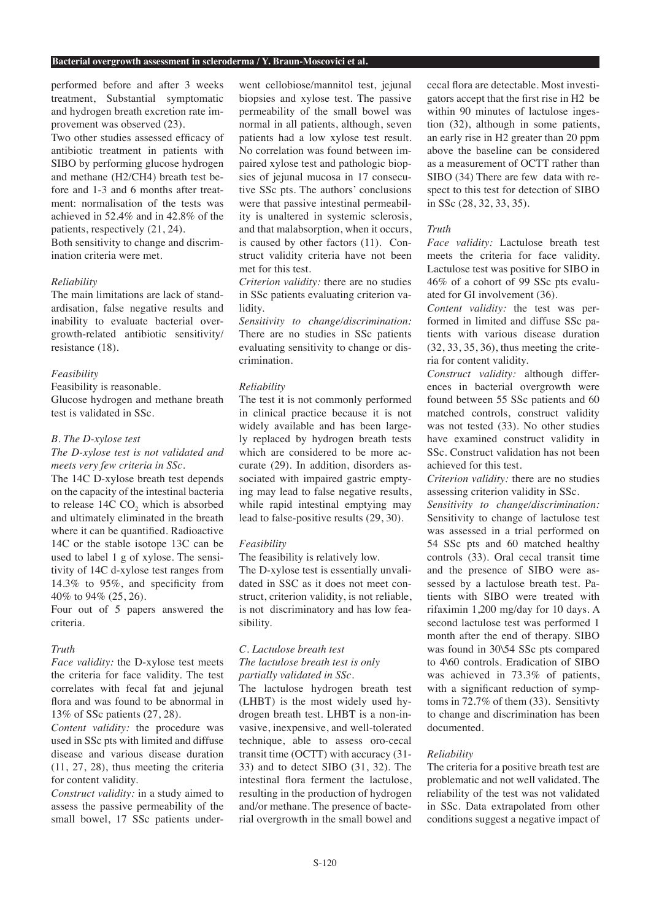#### **Bacterial overgrowth assessment in scleroderma / Y. Braun-Moscovici et al.**

performed before and after 3 weeks treatment, Substantial symptomatic and hydrogen breath excretion rate improvement was observed (23).

Two other studies assessed efficacy of antibiotic treatment in patients with SIBO by performing glucose hydrogen and methane (H2/CH4) breath test before and 1-3 and 6 months after treatment: normalisation of the tests was achieved in 52.4% and in 42.8% of the patients, respectively (21, 24).

Both sensitivity to change and discrimination criteria were met.

# *Reliability*

The main limitations are lack of standardisation, false negative results and inability to evaluate bacterial overgrowth-related antibiotic sensitivity/ resistance (18).

#### *Feasibility*

Feasibility is reasonable.

Glucose hydrogen and methane breath test is validated in SSc.

# *B. The D-xylose test*

*The D-xylose test is not validated and meets very few criteria in SSc.*

The 14C D-xylose breath test depends on the capacity of the intestinal bacteria to release  $14C CO$ , which is absorbed and ultimately eliminated in the breath where it can be quantified. Radioactive 14C or the stable isotope 13C can be used to label 1 g of xylose. The sensitivity of 14C d-xylose test ranges from 14.3% to 95%, and specificity from 40% to 94% (25, 26).

Four out of 5 papers answered the criteria.

# *Truth*

*Face validity:* the D-xylose test meets the criteria for face validity. The test correlates with fecal fat and jejunal flora and was found to be abnormal in 13% of SSc patients (27, 28).

*Content validity:* the procedure was used in SSc pts with limited and diffuse disease and various disease duration (11, 27, 28), thus meeting the criteria for content validity.

*Construct validity:* in a study aimed to assess the passive permeability of the small bowel, 17 SSc patients under-

went cellobiose/mannitol test, jejunal biopsies and xylose test. The passive permeability of the small bowel was normal in all patients, although, seven patients had a low xylose test result. No correlation was found between impaired xylose test and pathologic biopsies of jejunal mucosa in 17 consecutive SSc pts. The authors' conclusions were that passive intestinal permeability is unaltered in systemic sclerosis, and that malabsorption, when it occurs, is caused by other factors (11). Construct validity criteria have not been met for this test.

*Criterion validity:* there are no studies in SSc patients evaluating criterion validity.

*Sensitivity to change/discrimination:* There are no studies in SSc patients evaluating sensitivity to change or discrimination.

### *Reliability*

The test it is not commonly performed in clinical practice because it is not widely available and has been largely replaced by hydrogen breath tests which are considered to be more accurate (29). In addition, disorders associated with impaired gastric emptying may lead to false negative results, while rapid intestinal emptying may lead to false-positive results (29, 30).

# *Feasibility*

The feasibility is relatively low.

The D-xylose test is essentially unvalidated in SSC as it does not meet construct, criterion validity, is not reliable, is not discriminatory and has low feasibility.

# *C. Lactulose breath test The lactulose breath test is only partially validated in SSc.*

The lactulose hydrogen breath test (LHBT) is the most widely used hydrogen breath test. LHBT is a non-invasive, inexpensive, and well-tolerated technique, able to assess oro-cecal transit time (OCTT) with accuracy (31- 33) and to detect SIBO (31, 32). The intestinal flora ferment the lactulose, resulting in the production of hydrogen and/or methane. The presence of bacterial overgrowth in the small bowel and cecal flora are detectable. Most investigators accept that the first rise in H2 be within 90 minutes of lactulose ingestion (32), although in some patients, an early rise in H2 greater than 20 ppm above the baseline can be considered as a measurement of OCTT rather than SIBO (34) There are few data with respect to this test for detection of SIBO in SSc (28, 32, 33, 35).

## *Truth*

*Face validity:* Lactulose breath test meets the criteria for face validity. Lactulose test was positive for SIBO in 46% of a cohort of 99 SSc pts evaluated for GI involvement (36).

*Content validity:* the test was performed in limited and diffuse SSc patients with various disease duration (32, 33, 35, 36), thus meeting the criteria for content validity.

*Construct validity:* although differences in bacterial overgrowth were found between 55 SSc patients and 60 matched controls, construct validity was not tested (33). No other studies have examined construct validity in SSc. Construct validation has not been achieved for this test.

*Criterion validity:* there are no studies assessing criterion validity in SSc.

*Sensitivity to change/discrimination:*  Sensitivity to change of lactulose test was assessed in a trial performed on 54 SSc pts and 60 matched healthy controls (33). Oral cecal transit time and the presence of SIBO were assessed by a lactulose breath test. Patients with SIBO were treated with rifaximin 1,200 mg/day for 10 days. A second lactulose test was performed 1 month after the end of therapy. SIBO was found in 30\54 SSc pts compared to 4\60 controls. Eradication of SIBO was achieved in 73.3% of patients, with a significant reduction of symptoms in 72.7% of them (33). Sensitivty to change and discrimination has been documented.

## *Reliability*

The criteria for a positive breath test are problematic and not well validated. The reliability of the test was not validated in SSc. Data extrapolated from other conditions suggest a negative impact of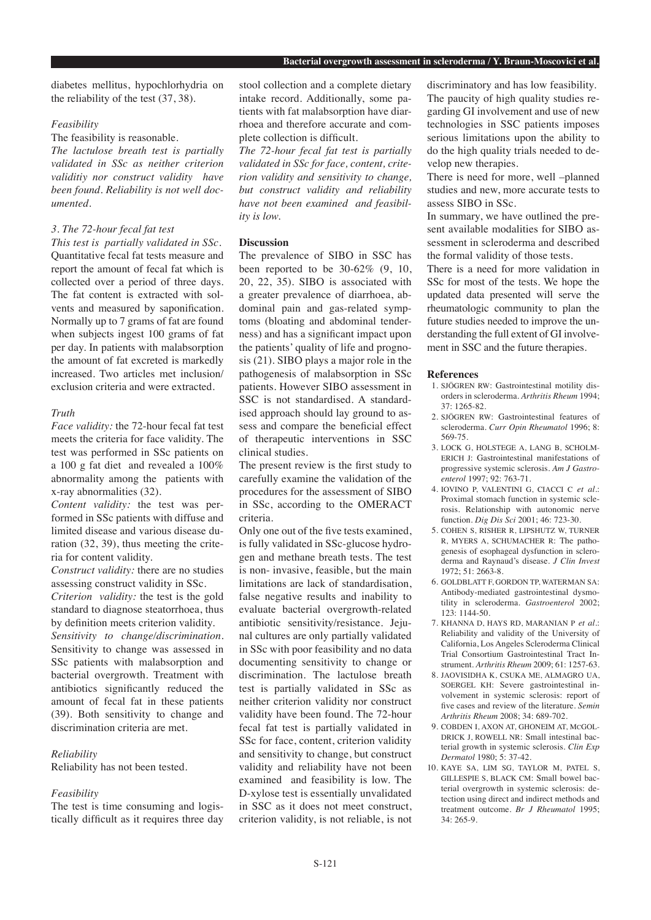diabetes mellitus, hypochlorhydria on the reliability of the test (37, 38).

# *Feasibility*

The feasibility is reasonable.

*The lactulose breath test is partially validated in SSc as neither criterion validitiy nor construct validity have been found. Reliability is not well documented.*

#### *3. The 72-hour fecal fat test*

*This test is partially validated in SSc.* Quantitative fecal fat tests measure and report the amount of fecal fat which is collected over a period of three days. The fat content is extracted with solvents and measured by saponification. Normally up to 7 grams of fat are found when subjects ingest 100 grams of fat per day. In patients with malabsorption the amount of fat excreted is markedly increased. Two articles met inclusion/ exclusion criteria and were extracted.

# *Truth*

*Face validity:* the 72-hour fecal fat test meets the criteria for face validity. The test was performed in SSc patients on a 100 g fat diet and revealed a 100% abnormality among the patients with x-ray abnormalities (32).

*Content validity:* the test was performed in SSc patients with diffuse and limited disease and various disease duration (32, 39), thus meeting the criteria for content validity.

*Construct validity:* there are no studies assessing construct validity in SSc.

*Criterion validity:* the test is the gold standard to diagnose steatorrhoea, thus by definition meets criterion validity. *Sensitivity to change/discrimination.*  Sensitivity to change was assessed in SSc patients with malabsorption and bacterial overgrowth. Treatment with antibiotics significantly reduced the amount of fecal fat in these patients (39). Both sensitivity to change and discrimination criteria are met.

## *Reliability*

Reliability has not been tested.

# *Feasibility*

The test is time consuming and logistically difficult as it requires three day stool collection and a complete dietary intake record. Additionally, some patients with fat malabsorption have diarrhoea and therefore accurate and complete collection is difficult.

*The 72-hour fecal fat test is partially validated in SSc for face, content, criterion validity and sensitivity to change, but construct validity and reliability have not been examined and feasibility is low.* 

#### **Discussion**

The prevalence of SIBO in SSC has been reported to be  $30-62\%$  (9, 10, 20, 22, 35). SIBO is associated with a greater prevalence of diarrhoea, abdominal pain and gas-related symptoms (bloating and abdominal tenderness) and has a significant impact upon the patients' quality of life and prognosis (21). SIBO plays a major role in the pathogenesis of malabsorption in SSc patients. However SIBO assessment in SSC is not standardised. A standardised approach should lay ground to assess and compare the beneficial effect of therapeutic interventions in SSC clinical studies.

The present review is the first study to carefully examine the validation of the procedures for the assessment of SIBO in SSc, according to the OMERACT criteria.

Only one out of the five tests examined, is fully validated in SSc-glucose hydrogen and methane breath tests. The test is non- invasive, feasible, but the main limitations are lack of standardisation, false negative results and inability to evaluate bacterial overgrowth-related antibiotic sensitivity/resistance. Jejunal cultures are only partially validated in SSc with poor feasibility and no data documenting sensitivity to change or discrimination. The lactulose breath test is partially validated in SSc as neither criterion validity nor construct validity have been found. The 72-hour fecal fat test is partially validated in SSc for face, content, criterion validity and sensitivity to change, but construct validity and reliability have not been examined and feasibility is low. The D-xylose test is essentially unvalidated in SSC as it does not meet construct, criterion validity, is not reliable, is not

discriminatory and has low feasibility. The paucity of high quality studies regarding GI involvement and use of new technologies in SSC patients imposes serious limitations upon the ability to do the high quality trials needed to develop new therapies.

There is need for more, well –planned studies and new, more accurate tests to assess SIBO in SSc.

In summary, we have outlined the present available modalities for SIBO assessment in scleroderma and described the formal validity of those tests.

There is a need for more validation in SSc for most of the tests. We hope the updated data presented will serve the rheumatologic community to plan the future studies needed to improve the understanding the full extent of GI involvement in SSC and the future therapies.

#### **References**

- 1. SJÖGREN RW: Gastrointestinal motility disorders in scleroderma. *Arthritis Rheum* 1994; 37: 1265-82.
- 2. SJÖGREN RW: Gastrointestinal features of scleroderma. *Curr Opin Rheumatol* 1996; 8: 569-75.
- 3. LOCK G, HOLSTEGE A, LANG B, SCHOLM-ERICH J: Gastrointestinal manifestations of progressive systemic sclerosis. *Am J Gastroenterol* 1997; 92: 763-71.
- 4. IOVINO P, VALENTINI G, CIACCI C *et al.*: Proximal stomach function in systemic sclerosis. Relationship with autonomic nerve function. *Dig Dis Sci* 2001; 46: 723-30.
- 5. COHEN S, RISHER R, LIPSHUTZ W, TURNER R, MYERS A, SCHUMACHER R: The pathogenesis of esophageal dysfunction in scleroderma and Raynaud's disease. *J Clin Invest*  $1972 \cdot 51 \cdot 2663$ -8.
- 6. GOLDBLATT F, GORDON TP, WATERMAN SA: Antibody-mediated gastrointestinal dysmotility in scleroderma. *Gastroenterol* 2002; 123: 1144-50.
- 7. KHANNA D, HAYS RD, MARANIAN P *et al.*: Reliability and validity of the University of California, Los Angeles Scleroderma Clinical Trial Consortium Gastrointestinal Tract Instrument. *Arthritis Rheum* 2009; 61: 1257-63.
- 8. JAOVISIDHA K, CSUKA ME, ALMAGRO UA, SOERGEL KH: Severe gastrointestinal involvement in systemic sclerosis: report of five cases and review of the literature. *Semin Arthritis Rheum* 2008; 34: 689-702.
- 9. COBDEN I, AXON AT, GHONEIM AT, McGOL-DRICK J, ROWELL NR: Small intestinal bacterial growth in systemic sclerosis. *Clin Exp Dermatol* 1980; 5: 37-42.
- 10. KAYE SA, LIM SG, TAYLOR M, PATEL S, GILLESPIE S, BLACK CM: Small bowel bacterial overgrowth in systemic sclerosis: detection using direct and indirect methods and treatment outcome. *Br J Rheumatol* 1995; 34: 265-9.